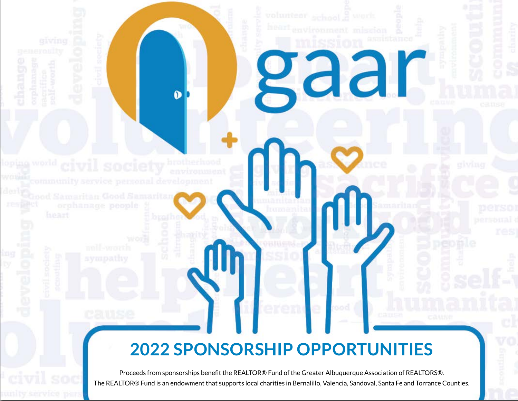# **2022 SPONSORSHIP OPPORTUNITIES**

 $\bullet$ 

Rad

Proceeds from sponsorships benefit the REALTOR® Fund of the Greater Albuquerque Association of REALTORS®. The REALTOR® Fund is an endowment that supports local charities in Bernalillo, Valencia, Sandoval, Santa Fe and Torrance Counties.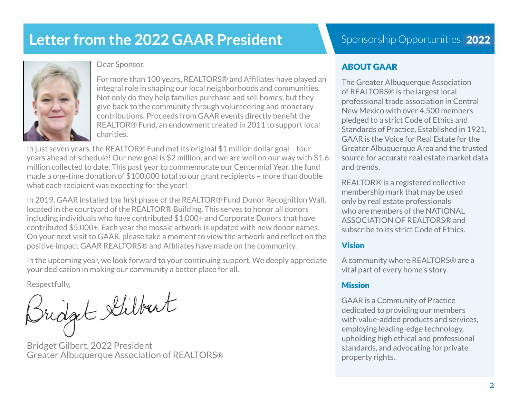# **Letter from the 2022 GAAR President**



Dear Sponsor,

For more than 100 years, REALTORS® and Affiliates have played an integral role in shaping our local neighborhoods and communities. Not only do they help families purchase and sell homes, but they give back to the community through volunteering and monetary contributions. Proceeds from GAAR events directly benefit the REALTOR® Fund, an endowment created in 2011 to support local charities.

In just seven years, the REALTOR® Fund met its original \$1 million dollar goal – four years ahead of schedule! Our new goal is \$2 million, and we are well on our way with \$1.6 million collected to date. This past year to commemorate our Centennial Year, the fund made a one-time donation of \$100,000 total to our grant recipients – more than double what each recipient was expecting for the year!

In 2019, GAAR installed the first phase of the REALTOR® Fund Donor Recognition Wall, located in the courtyard of the REALTOR® Building. This serves to honor all donors including individuals who have contributed \$1,000+ and Corporate Donors that have contributed \$5,000+. Each year the mosaic artwork is updated with new donor names. On your next visit to GAAR, please take a moment to view the artwork and reflect on the positive impact GAAR REALTORS® and Affiliates have made on the community.

In the upcoming year, we look forward to your continuing support. We deeply appreciate your dedication in making our community a better place for all.

Respectfully,<br>Bridget Stilbert

Bridget Gilbert, 2022 President Greater Albuquerque Association of REALTORS®

# Sponsorship Opportunities 2022

## ABOUT GAAR

The Greater Albuquerque Association of REALTORS® is the largest local professional trade association in Central New Mexico with over 4,500 members pledged to a strict Code of Ethics and Standards of Practice. Established in 1921, GAAR is the Voice for Real Estate for the Greater Albuquerque Area and the trusted source for accurate real estate market data and trends.

REALTOR® is a registered collective membership mark that may be used only by real estate professionals who are members of the NATIONAL ASSOCIATION OF REALTORS® and subscribe to its strict Code of Ethics.

#### Vision

A community where REALTORS® are a vital part of every home's story.

#### **Mission**

GAAR is a Community of Practice dedicated to providing our members with value-added products and services, employing leading-edge technology, upholding high ethical and professional standards, and advocating for private property rights.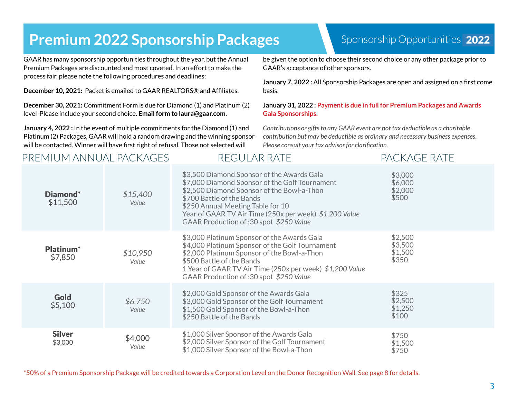# **Premium 2022 Sponsorship Packages**

#### GAAR has many sponsorship opportunities throughout the year, but the Annual Premium Packages are discounted and most coveted. In an effort to make the process fair, please note the following procedures and deadlines:

**December 10, 2021:** Packet is emailed to GAAR REALTORS® and Affiliates.

**December 30, 2021:** Commitment Form is due for Diamond (1) and Platinum (2) level Please include your second choice. **Email form to laura@gaar.com.**

**January 4, 2022 :** In the event of multiple commitments for the Diamond (1) and Platinum (2) Packages, GAAR will hold a random drawing and the winning sponsor will be contacted. Winner will have first right of refusal. Those not selected will

## PREMIUM ANNUAL PACKAGES REGULAR RATE PACKAGE RATE

## Sponsorship Opportunities 2022

be given the option to choose their second choice or any other package prior to GAAR's acceptance of other sponsors.

**January 7, 2022 :** All Sponsorship Packages are open and assigned on a first come basis.

#### **January 31, 2022 : Payment is due in full for Premium Packages and Awards Gala Sponsorships.**

*Contributions or gifts to any GAAR event are not tax deductible as a charitable contribution but may be deductible as ordinary and necessary business expenses. Please consult your tax advisor for clarification.* 

| Diamond*<br>\$11,500             | \$15,400<br>Value | \$3,500 Diamond Sponsor of the Awards Gala<br>\$7,000 Diamond Sponsor of the Golf Tournament<br>\$2,500 Diamond Sponsor of the Bowl-a-Thon<br>\$700 Battle of the Bands<br>\$250 Annual Meeting Table for 10<br>Year of GAAR TV Air Time (250x per week) \$1,200 Value<br>GAAR Production of: 30 spot \$250 Value | \$3,000<br>\$6,000<br>\$2,000<br>\$500 |
|----------------------------------|-------------------|-------------------------------------------------------------------------------------------------------------------------------------------------------------------------------------------------------------------------------------------------------------------------------------------------------------------|----------------------------------------|
| Platinum <sup>*</sup><br>\$7,850 | \$10,950<br>Value | \$3,000 Platinum Sponsor of the Awards Gala<br>\$4,000 Platinum Sponsor of the Golf Tournament<br>\$2,000 Platinum Sponsor of the Bowl-a-Thon<br>\$500 Battle of the Bands<br>1 Year of GAAR TV Air Time (250x per week) \$1,200 Value<br>GAAR Production of: 30 spot \$250 Value                                 | \$2,500<br>\$3,500<br>\$1,500<br>\$350 |
| <b>Gold</b><br>\$5,100           | \$6,750<br>Value  | \$2,000 Gold Sponsor of the Awards Gala<br>\$3,000 Gold Sponsor of the Golf Tournament<br>\$1,500 Gold Sponsor of the Bowl-a-Thon<br>\$250 Battle of the Bands                                                                                                                                                    | \$325<br>\$2,500<br>\$1,250<br>\$100   |
| <b>Silver</b><br>\$3,000         | \$4,000<br>Value  | \$1,000 Silver Sponsor of the Awards Gala<br>\$2,000 Silver Sponsor of the Golf Tournament<br>\$1,000 Silver Sponsor of the Bowl-a-Thon                                                                                                                                                                           | \$750<br>\$1,500<br>\$750              |

\*50% of a Premium Sponsorship Package will be credited towards a Corporation Level on the Donor Recognition Wall. See page 8 for details.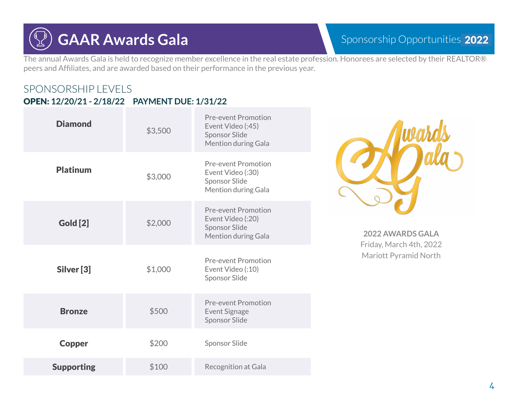# **GAAR Awards Gala**

The annual Awards Gala is held to recognize member excellence in the real estate profession. Honorees are selected by their REALTOR® peers and Affiliates, and are awarded based on their performance in the previous year.

## SPONSORSHIP LEVELS OPEN: **12/20/21 - 2/18/22 PAYMENT DUE: 1/31/22**

| <b>Diamond</b>    | \$3,500 | <b>Pre-event Promotion</b><br>Event Video (:45)<br><b>Sponsor Slide</b><br>Mention during Gala |                                             |
|-------------------|---------|------------------------------------------------------------------------------------------------|---------------------------------------------|
| <b>Platinum</b>   | \$3,000 | <b>Pre-event Promotion</b><br>Event Video (:30)<br>Sponsor Slide<br>Mention during Gala        |                                             |
| <b>Gold</b> [2]   | \$2,000 | <b>Pre-event Promotion</b><br>Event Video (:20)<br><b>Sponsor Slide</b><br>Mention during Gala | 2022 AWARDS GALA<br>Friday, March 4th, 2022 |
| Silver [3]        | \$1,000 | <b>Pre-event Promotion</b><br>Event Video (:10)<br>Sponsor Slide                               | Mariott Pyramid North                       |
| <b>Bronze</b>     | \$500   | <b>Pre-event Promotion</b><br>Event Signage<br><b>Sponsor Slide</b>                            |                                             |
| <b>Copper</b>     | \$200   | Sponsor Slide                                                                                  |                                             |
| <b>Supporting</b> | \$100   | Recognition at Gala                                                                            |                                             |
|                   |         |                                                                                                |                                             |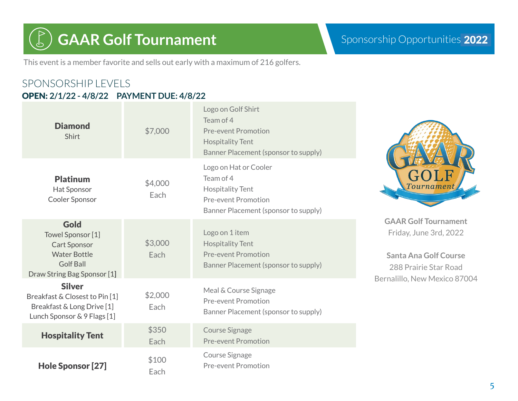# **GAAR Golf Tournament** Sponsorship Opportunities 2022

This event is a member favorite and sells out early with a maximum of 216 golfers.

## SPONSORSHIP LEVELS OPEN: **2/1/22 - 4/8/22 PAYMENT DUE: 4/8/22**

| <b>Diamond</b><br>Shirt                                                                                                           | \$7,000         | Logo on Golf Shirt<br>Team of 4<br><b>Pre-event Promotion</b><br><b>Hospitality Tent</b><br>Banner Placement (sponsor to supply)    |                                                                                                                                                |
|-----------------------------------------------------------------------------------------------------------------------------------|-----------------|-------------------------------------------------------------------------------------------------------------------------------------|------------------------------------------------------------------------------------------------------------------------------------------------|
| <b>Platinum</b><br>Hat Sponsor<br>Cooler Sponsor                                                                                  | \$4,000<br>Each | Logo on Hat or Cooler<br>Team of 4<br><b>Hospitality Tent</b><br><b>Pre-event Promotion</b><br>Banner Placement (sponsor to supply) | Tourname                                                                                                                                       |
| <b>Gold</b><br>Towel Sponsor [1]<br><b>Cart Sponsor</b><br><b>Water Bottle</b><br><b>Golf Ball</b><br>Draw String Bag Sponsor [1] | \$3,000<br>Each | Logo on 1 item<br><b>Hospitality Tent</b><br><b>Pre-event Promotion</b><br>Banner Placement (sponsor to supply)                     | <b>GAAR Golf Tournament</b><br>Friday, June 3rd, 2022<br><b>Santa Ana Golf Course</b><br>288 Prairie Star Road<br>Bernalillo, New Mexico 87004 |
| <b>Silver</b><br>Breakfast & Closest to Pin [1]<br>Breakfast & Long Drive [1]<br>Lunch Sponsor & 9 Flags [1]                      | \$2,000<br>Each | Meal & Course Signage<br><b>Pre-event Promotion</b><br>Banner Placement (sponsor to supply)                                         |                                                                                                                                                |
| <b>Hospitality Tent</b>                                                                                                           | \$350<br>Each   | <b>Course Signage</b><br><b>Pre-event Promotion</b>                                                                                 |                                                                                                                                                |
| Hole Sponsor [27]                                                                                                                 | \$100<br>Each   | Course Signage<br><b>Pre-event Promotion</b>                                                                                        |                                                                                                                                                |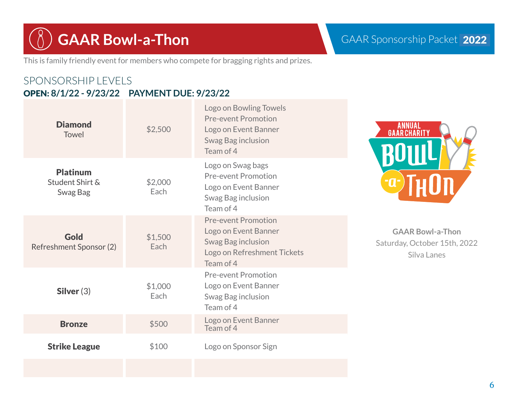**GAAR Bowl-a-Thon** GAAR Sponsorship Packet 2022

This is family friendly event for members who compete for bragging rights and prizes.

## SPONSORSHIP LEVELS OPEN: **8/1/22 - 9/23/22 PAYMENT DUE: 9/23/22**

| <b>Diamond</b><br>Towel                        | \$2,500         | Logo on Bowling Towels<br><b>Pre-event Promotion</b><br>Logo on Event Banner<br>Swag Bag inclusion<br>Team of 4      | اA<br>GAAF           |
|------------------------------------------------|-----------------|----------------------------------------------------------------------------------------------------------------------|----------------------|
| <b>Platinum</b><br>Student Shirt &<br>Swag Bag | \$2,000<br>Each | Logo on Swag bags<br><b>Pre-event Promotion</b><br>Logo on Event Banner<br>Swag Bag inclusion<br>Team of 4           |                      |
| Gold<br>Refreshment Sponsor (2)                | \$1,500<br>Each | <b>Pre-event Promotion</b><br>Logo on Event Banner<br>Swag Bag inclusion<br>Logo on Refreshment Tickets<br>Team of 4 | $G\Delta$<br>Saturda |
| Silver $(3)$                                   | \$1,000<br>Each | <b>Pre-event Promotion</b><br>Logo on Event Banner<br>Swag Bag inclusion<br>Team of 4                                |                      |
| <b>Bronze</b>                                  | \$500           | Logo on Event Banner<br>Team of 4                                                                                    |                      |
| <b>Strike League</b>                           | \$100           | Logo on Sponsor Sign                                                                                                 |                      |
|                                                |                 |                                                                                                                      |                      |



**GAAR Bowl-a-Thon** ay, October 15th, 2022 Silva Lanes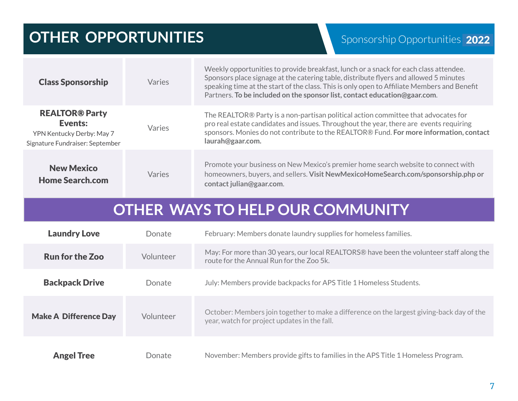# **OTHER OPPORTUNITIES**

| <b>Class Sponsorship</b>                                                                                | Varies    | Weekly opportunities to provide breakfast, lunch or a snack for each class attendee.<br>Sponsors place signage at the catering table, distribute flyers and allowed 5 minutes<br>speaking time at the start of the class. This is only open to Affiliate Members and Benefit<br>Partners. To be included on the sponsor list, contact education@gaar.com. |  |
|---------------------------------------------------------------------------------------------------------|-----------|-----------------------------------------------------------------------------------------------------------------------------------------------------------------------------------------------------------------------------------------------------------------------------------------------------------------------------------------------------------|--|
| <b>REALTOR® Party</b><br><b>Events:</b><br>YPN Kentucky Derby: May 7<br>Signature Fundraiser: September | Varies    | The REALTOR® Party is a non-partisan political action committee that advocates for<br>pro real estate candidates and issues. Throughout the year, there are events requiring<br>sponsors. Monies do not contribute to the REALTOR® Fund. For more information, contact<br>laurah@gaar.com.                                                                |  |
| <b>New Mexico</b><br><b>Home Search.com</b>                                                             | Varies    | Promote your business on New Mexico's premier home search website to connect with<br>homeowners, buyers, and sellers. Visit NewMexicoHomeSearch.com/sponsorship.php or<br>contact julian@gaar.com.                                                                                                                                                        |  |
| <b>OTHER WAYS TO HELP OUR COMMUNITY</b>                                                                 |           |                                                                                                                                                                                                                                                                                                                                                           |  |
| <b>Laundry Love</b>                                                                                     | Donate    | February: Members donate laundry supplies for homeless families.                                                                                                                                                                                                                                                                                          |  |
| <b>Run for the Zoo</b>                                                                                  | Volunteer | May: For more than 30 years, our local REALTORS® have been the volunteer staff along the<br>route for the Annual Run for the Zoo 5k.                                                                                                                                                                                                                      |  |
| <b>Backpack Drive</b>                                                                                   | Donate    | July: Members provide backpacks for APS Title 1 Homeless Students.                                                                                                                                                                                                                                                                                        |  |
|                                                                                                         |           |                                                                                                                                                                                                                                                                                                                                                           |  |
| <b>Make A Difference Day</b>                                                                            | Volunteer | October: Members join together to make a difference on the largest giving-back day of the<br>year, watch for project updates in the fall.                                                                                                                                                                                                                 |  |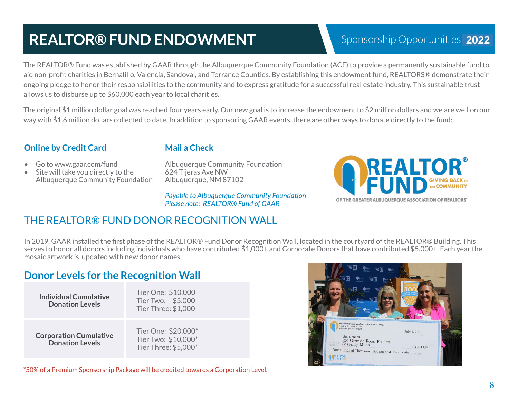# **REALTOR® FUND ENDOWMENT**

# Sponsorship Opportunities 2022

The REALTOR® Fund was established by GAAR through the Albuquerque Community Foundation (ACF) to provide a permanently sustainable fund to aid non-profit charities in Bernalillo, Valencia, Sandoval, and Torrance Counties. By establishing this endowment fund, REALTORS® demonstrate their ongoing pledge to honor their responsibilities to the community and to express gratitude for a successful real estate industry. This sustainable trust allows us to disburse up to \$60,000 each year to local charities.

The original \$1 million dollar goal was reached four years early. Our new goal is to increase the endowment to \$2 million dollars and we are well on our way with \$1.6 million dollars collected to date. In addition to sponsoring GAAR events, there are other ways to donate directly to the fund:

## **Online by Credit Card**

### **Mail a Check**

- Go to www.gaar.com/fund
- Site will take you directly to the Albuquerque Community Foundation

Albuquerque Community Foundation 624 Tijeras Ave NW Albuquerque, NM 87102

*Payable to Albuquerque Community Foundation Please note: REALTOR® Fund of GAAR*



## THE REALTOR® FUND DONOR RECOGNITION WALL

In 2019, GAAR installed the first phase of the REALTOR® Fund Donor Recognition Wall, located in the courtyard of the REALTOR® Building. This serves to honor all donors including individuals who have contributed \$1,000+ and Corporate Donors that have contributed \$5,000+. Each year the mosaic artwork is updated with new donor names.

## **Donor Levels for the Recognition Wall**

| <b>Individual Cumulative</b><br><b>Donation Levels</b>  | Tier One: \$10,000<br>Tier Two: \$5,000<br>Tier Three: \$1,000     |
|---------------------------------------------------------|--------------------------------------------------------------------|
| <b>Corporation Cumulative</b><br><b>Donation Levels</b> | Tier One: \$20,000*<br>Tier Two: \$10,000*<br>Tier Three: \$5,000* |



\*50% of a Premium Sponsorship Package will be credited towards a Corporation Level.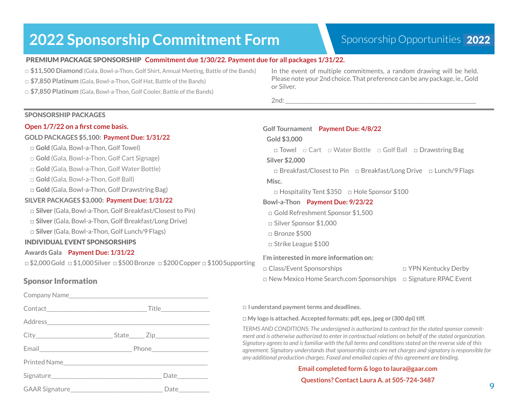# **2022 Sponsorship Commitment Form Sponsorship Opportunities 2022**

#### PREMIUM PACKAGE SPONSORSHIP **Commitment due 1/30/22. Payment due for all packages 1/31/22.**

*□* **\$11,500 Diamond** (Gala, Bowl-a-Thon, Golf Shirt, Annual Meeting, Battle of the Bands)

- *□* **\$7,850 Platinum** (Gala, Bowl-a-Thon, Golf Hat, Battle of the Bands)
- *□* **\$7,850 Platinum** (Gala, Bowl-a-Thon, Golf Cooler, Battle of the Bands)

#### In the event of multiple commitments, a random drawing will be held. Please note your 2nd choice. That preference can be any package, ie., Gold or Silver.

 $2nd:$ 

| <b>SPONSORSHIP PACKAGES</b>                                                                                                                                                                                                                                                                                                                                                                                          |                                                                                                                                                                                                                                                                                                                    |
|----------------------------------------------------------------------------------------------------------------------------------------------------------------------------------------------------------------------------------------------------------------------------------------------------------------------------------------------------------------------------------------------------------------------|--------------------------------------------------------------------------------------------------------------------------------------------------------------------------------------------------------------------------------------------------------------------------------------------------------------------|
| Open 1/7/22 on a first come basis.<br>GOLD PACKAGES \$5,100: Payment Due: 1/31/22<br><b>Gold</b> (Gala, Bowl-a-Thon, Golf Towel)<br>□ Gold (Gala, Bowl-a-Thon, Golf Cart Signage)<br>□ Gold (Gala, Bowl-a-Thon, Golf Water Bottle)<br>$\Box$ Gold (Gala, Bowl-a-Thon, Golf Ball)<br>$\Box$ Gold (Gala, Bowl-a-Thon, Golf Drawstring Bag)                                                                             | Golf Tournament Payment Due: 4/8/22<br>Gold \$3,000<br>$\Box$ Towel $\Box$ Cart $\Box$ Water Bottle $\Box$ Golf Ball $\Box$ Drawstring Bag<br><b>Silver \$2,000</b><br>$\Box$ Breakfast/Closest to Pin $\Box$ Breakfast/Long Drive $\Box$ Lunch/9 Flags<br>Misc.                                                   |
| SILVER PACKAGES \$3,000: Payment Due: 1/31/22<br>□ Silver (Gala, Bowl-a-Thon, Golf Breakfast/Closest to Pin)<br>□ Silver (Gala, Bowl-a-Thon, Golf Breakfast/Long Drive)<br>□ Silver (Gala, Bowl-a-Thon, Golf Lunch/9 Flags)<br><b>INDIVIDUAL EVENT SPONSORSHIPS</b><br>Awards Gala Payment Due: 1/31/22<br>$\Box$ \$2,000 Gold $\Box$ \$1,000 Silver $\Box$ \$500 Bronze $\Box$ \$200 Copper $\Box$ \$100 Supporting | □ Hospitality Tent \$350 □ Hole Sponsor \$100<br>Bowl-a-Thon Payment Due: 9/23/22<br>□ Gold Refreshment Sponsor \$1,500<br>$\Box$ Silver Sponsor \$1,000<br>$\Box$ Bronze \$500<br>$\Box$ Strike League \$100<br>I'm interested in more information on:<br>□ Class/Event Sponsorships<br>$\Box$ YPN Kentucky Derby |
| <b>Sponsor Information</b>                                                                                                                                                                                                                                                                                                                                                                                           | $\Box$ New Mexico Home Search.com Sponsorships<br>$\Box$ Signature RPAC Event                                                                                                                                                                                                                                      |
| Company Name                                                                                                                                                                                                                                                                                                                                                                                                         |                                                                                                                                                                                                                                                                                                                    |

**□ I understand payment terms and deadlines.** 

**□ My logo is attached. Accepted formats: pdf, eps, jpeg or (300 dpi) tiff.**

*TERMS AND CONDITIONS: The undersigned is authorized to contract for the stated sponsor commitment and is otherwise authorized to enter in contractual relations on behalf of the stated organization. Signatory agrees to and is familiar with the full terms and conditions stated on the reverse side of this agreement. Signatory understands that sponsorship costs are net charges and signatory is responsible for any additional production charges. Faxed and emailed copies of this agreement are binding.*

#### **Email completed form & logo to laura@gaar.com Questions? Contact Laura A. at 505-724-3487**

|                       | Date__________ |
|-----------------------|----------------|
| <b>GAAR Signature</b> | Date           |